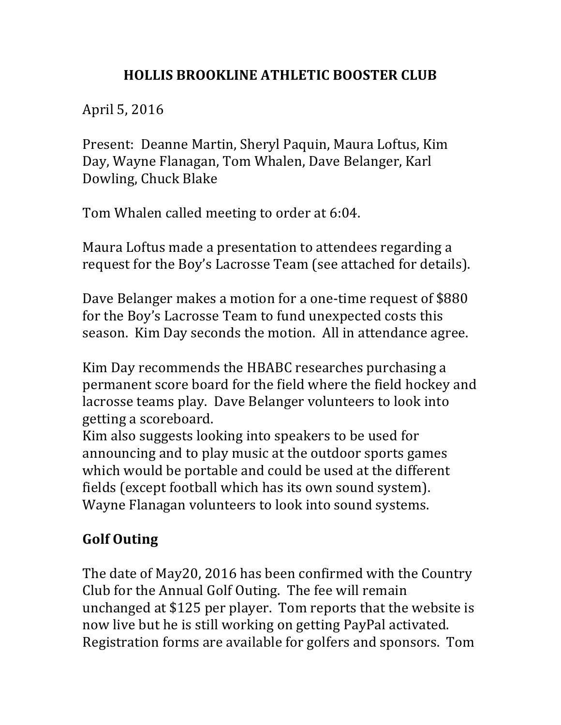## **HOLLIS BROOKLINE ATHLETIC BOOSTER CLUB**

April 5, 2016

Present: Deanne Martin, Sheryl Paquin, Maura Loftus, Kim Day, Wayne Flanagan, Tom Whalen, Dave Belanger, Karl Dowling, Chuck Blake

Tom Whalen called meeting to order at 6:04.

Maura Loftus made a presentation to attendees regarding a request for the Boy's Lacrosse Team (see attached for details).

Dave Belanger makes a motion for a one-time request of \$880 for the Boy's Lacrosse Team to fund unexpected costs this season. Kim Day seconds the motion. All in attendance agree.

Kim Day recommends the HBABC researches purchasing a permanent score board for the field where the field hockey and lacrosse teams play. Dave Belanger volunteers to look into getting a scoreboard.

Kim also suggests looking into speakers to be used for announcing and to play music at the outdoor sports games which would be portable and could be used at the different fields (except football which has its own sound system). Wayne Flanagan volunteers to look into sound systems.

## **Golf Outing**

The date of May20, 2016 has been confirmed with the Country Club for the Annual Golf Outing. The fee will remain unchanged at \$125 per player. Tom reports that the website is now live but he is still working on getting PayPal activated. Registration forms are available for golfers and sponsors. Tom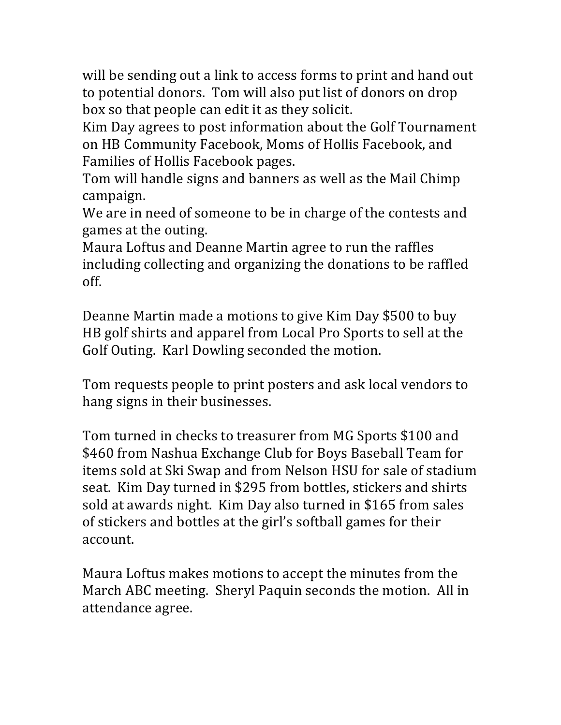will be sending out a link to access forms to print and hand out to potential donors. Tom will also put list of donors on drop box so that people can edit it as they solicit.

Kim Day agrees to post information about the Golf Tournament on HB Community Facebook, Moms of Hollis Facebook, and Families of Hollis Facebook pages.

Tom will handle signs and banners as well as the Mail Chimp campaign. 

We are in need of someone to be in charge of the contests and games at the outing.

Maura Loftus and Deanne Martin agree to run the raffles including collecting and organizing the donations to be raffled off.

Deanne Martin made a motions to give Kim Day \$500 to buy HB golf shirts and apparel from Local Pro Sports to sell at the Golf Outing. Karl Dowling seconded the motion.

Tom requests people to print posters and ask local vendors to hang signs in their businesses.

Tom turned in checks to treasurer from MG Sports \$100 and \$460 from Nashua Exchange Club for Boys Baseball Team for items sold at Ski Swap and from Nelson HSU for sale of stadium seat. Kim Day turned in \$295 from bottles, stickers and shirts sold at awards night. Kim Day also turned in \$165 from sales of stickers and bottles at the girl's softball games for their account.

Maura Loftus makes motions to accept the minutes from the March ABC meeting. Sheryl Paquin seconds the motion. All in attendance agree.